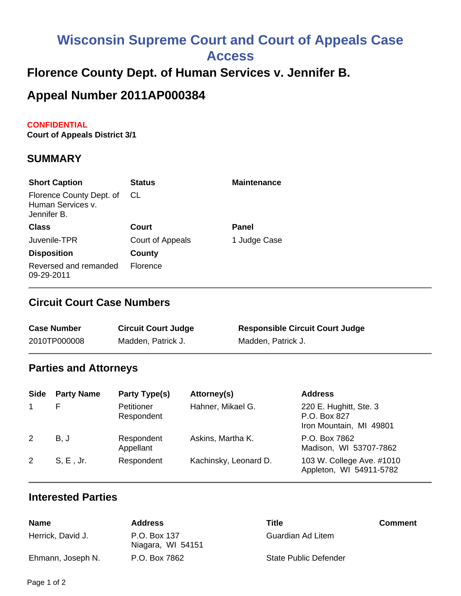# **Wisconsin Supreme Court and Court of Appeals Case**

## **Access**

## **Florence County Dept. of Human Services v. Jennifer B.**

## **Appeal Number 2011AP000384**

#### **CONFIDENTIAL**

**Court of Appeals District 3/1**

### **SUMMARY**

| <b>Short Caption</b>                                         | <b>Status</b>    | <b>Maintenance</b> |
|--------------------------------------------------------------|------------------|--------------------|
| Florence County Dept. of<br>Human Services v.<br>Jennifer B. | CL               |                    |
| <b>Class</b>                                                 | Court            | Panel              |
| Juvenile-TPR                                                 | Court of Appeals | 1 Judge Case       |
| <b>Disposition</b>                                           | County           |                    |
| Reversed and remanded<br>09-29-2011                          | Florence         |                    |

#### **Circuit Court Case Numbers**

| <b>Case Number</b> | <b>Circuit Court Judge</b> | <b>Responsible Circuit Court Judge</b> |
|--------------------|----------------------------|----------------------------------------|
| 2010TP000008       | Madden, Patrick J.         | Madden, Patrick J.                     |

#### **Parties and Attorneys**

| <b>Side</b> | <b>Party Name</b> | Party Type(s)            | Attorney(s)           | <b>Address</b>                                                    |
|-------------|-------------------|--------------------------|-----------------------|-------------------------------------------------------------------|
|             |                   | Petitioner<br>Respondent | Hahner, Mikael G.     | 220 E. Hughitt, Ste. 3<br>P.O. Box 827<br>Iron Mountain, MI 49801 |
| 2           | B, J              | Respondent<br>Appellant  | Askins, Martha K.     | P.O. Box 7862<br>Madison, WI 53707-7862                           |
| 2           | S, E, Jr.         | Respondent               | Kachinsky, Leonard D. | 103 W. College Ave. #1010<br>Appleton, WI 54911-5782              |

#### **Interested Parties**

| <b>Name</b>       | <b>Address</b>                    | Title                 | <b>Comment</b> |
|-------------------|-----------------------------------|-----------------------|----------------|
| Herrick, David J. | P.O. Box 137<br>Niagara, WI 54151 | Guardian Ad Litem     |                |
| Ehmann, Joseph N. | P.O. Box 7862                     | State Public Defender |                |